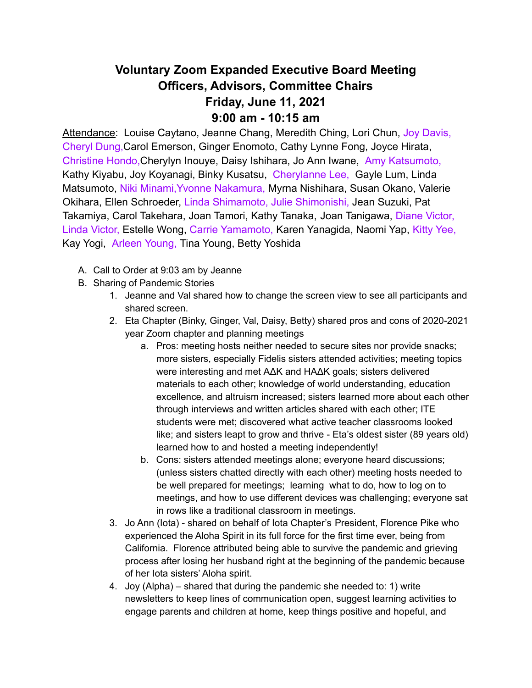## **Voluntary Zoom Expanded Executive Board Meeting Officers, Advisors, Committee Chairs Friday, June 11, 2021 9:00 am - 10:15 am**

Attendance: Louise Caytano, Jeanne Chang, Meredith Ching, Lori Chun, Joy Davis, Cheryl Dung,Carol Emerson, Ginger Enomoto, Cathy Lynne Fong, Joyce Hirata, Christine Hondo,Cherylyn Inouye, Daisy Ishihara, Jo Ann Iwane, Amy Katsumoto, Kathy Kiyabu, Joy Koyanagi, Binky Kusatsu, Cherylanne Lee, Gayle Lum, Linda Matsumoto, Niki Minami,Yvonne Nakamura, Myrna Nishihara, Susan Okano, Valerie Okihara, Ellen Schroeder, Linda Shimamoto, Julie Shimonishi, Jean Suzuki, Pat Takamiya, Carol Takehara, Joan Tamori, Kathy Tanaka, Joan Tanigawa, Diane Victor, Linda Victor, Estelle Wong, Carrie Yamamoto, Karen Yanagida, Naomi Yap, Kitty Yee, Kay Yogi, Arleen Young, Tina Young, Betty Yoshida

- A. Call to Order at 9:03 am by Jeanne
- B. Sharing of Pandemic Stories
	- 1. Jeanne and Val shared how to change the screen view to see all participants and shared screen.
	- 2. Eta Chapter (Binky, Ginger, Val, Daisy, Betty) shared pros and cons of 2020-2021 year Zoom chapter and planning meetings
		- a. Pros: meeting hosts neither needed to secure sites nor provide snacks; more sisters, especially Fidelis sisters attended activities; meeting topics were interesting and met AΔK and HAΔK goals; sisters delivered materials to each other; knowledge of world understanding, education excellence, and altruism increased; sisters learned more about each other through interviews and written articles shared with each other; ITE students were met; discovered what active teacher classrooms looked like; and sisters leapt to grow and thrive - Eta's oldest sister (89 years old) learned how to and hosted a meeting independently!
		- b. Cons: sisters attended meetings alone; everyone heard discussions; (unless sisters chatted directly with each other) meeting hosts needed to be well prepared for meetings; learning what to do, how to log on to meetings, and how to use different devices was challenging; everyone sat in rows like a traditional classroom in meetings.
	- 3. Jo Ann (Iota) shared on behalf of Iota Chapter's President, Florence Pike who experienced the Aloha Spirit in its full force for the first time ever, being from California. Florence attributed being able to survive the pandemic and grieving process after losing her husband right at the beginning of the pandemic because of her Iota sisters' Aloha spirit.
	- 4. Joy (Alpha) shared that during the pandemic she needed to: 1) write newsletters to keep lines of communication open, suggest learning activities to engage parents and children at home, keep things positive and hopeful, and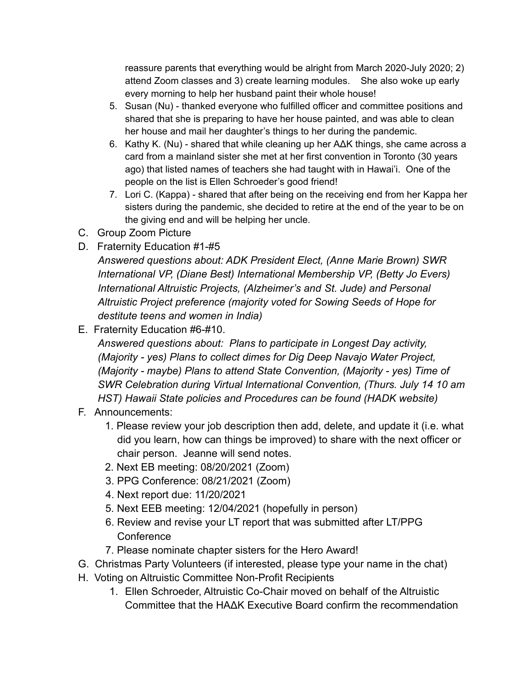reassure parents that everything would be alright from March 2020-July 2020; 2) attend Zoom classes and 3) create learning modules. She also woke up early every morning to help her husband paint their whole house!

- 5. Susan (Nu) thanked everyone who fulfilled officer and committee positions and shared that she is preparing to have her house painted, and was able to clean her house and mail her daughter's things to her during the pandemic.
- 6. Kathy K. (Nu) shared that while cleaning up her AΔK things, she came across a card from a mainland sister she met at her first convention in Toronto (30 years ago) that listed names of teachers she had taught with in Hawai'i. One of the people on the list is Ellen Schroeder's good friend!
- 7. Lori C. (Kappa) shared that after being on the receiving end from her Kappa her sisters during the pandemic, she decided to retire at the end of the year to be on the giving end and will be helping her uncle.
- C. Group Zoom Picture
- D. Fraternity Education #1-#5

*Answered questions about: ADK President Elect, (Anne Marie Brown) SWR International VP, (Diane Best) International Membership VP, (Betty Jo Evers) International Altruistic Projects, (Alzheimer's and St. Jude) and Personal Altruistic Project preference (majority voted for Sowing Seeds of Hope for destitute teens and women in India)*

E. Fraternity Education #6-#10.

*Answered questions about: Plans to participate in Longest Day activity, (Majority - yes) Plans to collect dimes for Dig Deep Navajo Water Project, (Majority - maybe) Plans to attend State Convention, (Majority - yes) Time of SWR Celebration during Virtual International Convention, (Thurs. July 14 10 am HST) Hawaii State policies and Procedures can be found (HADK website)*

- F. Announcements:
	- 1. Please review your job description then add, delete, and update it (i.e. what did you learn, how can things be improved) to share with the next officer or chair person. Jeanne will send notes.
	- 2. Next EB meeting: 08/20/2021 (Zoom)
	- 3. PPG Conference: 08/21/2021 (Zoom)
	- 4. Next report due: 11/20/2021
	- 5. Next EEB meeting: 12/04/2021 (hopefully in person)
	- 6. Review and revise your LT report that was submitted after LT/PPG **Conference**
	- 7. Please nominate chapter sisters for the Hero Award!
- G. Christmas Party Volunteers (if interested, please type your name in the chat)
- H. Voting on Altruistic Committee Non-Profit Recipients
	- 1. Ellen Schroeder, Altruistic Co-Chair moved on behalf of the Altruistic Committee that the HAΔK Executive Board confirm the recommendation